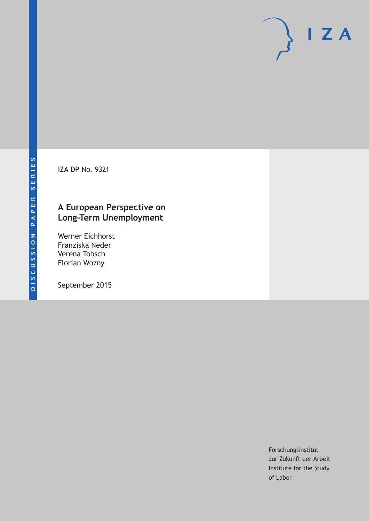IZA DP No. 9321

# **A European Perspective on Long‐Term Unemployment**

Werner Eichhorst Franziska Neder Verena Tobsch Florian Wozny

September 2015

Forschungsinstitut zur Zukunft der Arbeit Institute for the Study of Labor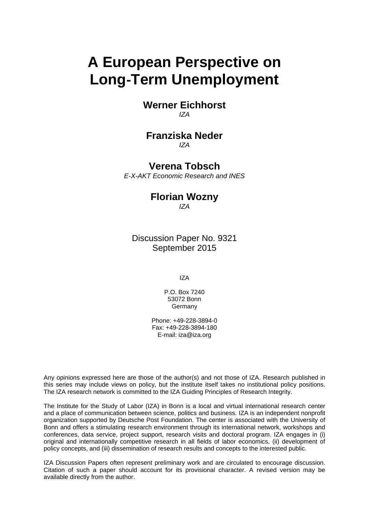# **A European Perspective on Long**‐**Term Unemployment**

**Werner Eichhorst**  *IZA* 

#### **Franziska Neder**  *IZA*

**Verena Tobsch** 

*E-X-AKT Economic Research and INES*

### **Florian Wozny**  *IZA*

Discussion Paper No. 9321 September 2015

IZA

P.O. Box 7240 53072 Bonn **Germany** 

Phone: +49-228-3894-0 Fax: +49-228-3894-180 E-mail: iza@iza.org

Any opinions expressed here are those of the author(s) and not those of IZA. Research published in this series may include views on policy, but the institute itself takes no institutional policy positions. The IZA research network is committed to the IZA Guiding Principles of Research Integrity.

The Institute for the Study of Labor (IZA) in Bonn is a local and virtual international research center and a place of communication between science, politics and business. IZA is an independent nonprofit organization supported by Deutsche Post Foundation. The center is associated with the University of Bonn and offers a stimulating research environment through its international network, workshops and conferences, data service, project support, research visits and doctoral program. IZA engages in (i) original and internationally competitive research in all fields of labor economics, (ii) development of policy concepts, and (iii) dissemination of research results and concepts to the interested public.

IZA Discussion Papers often represent preliminary work and are circulated to encourage discussion. Citation of such a paper should account for its provisional character. A revised version may be available directly from the author.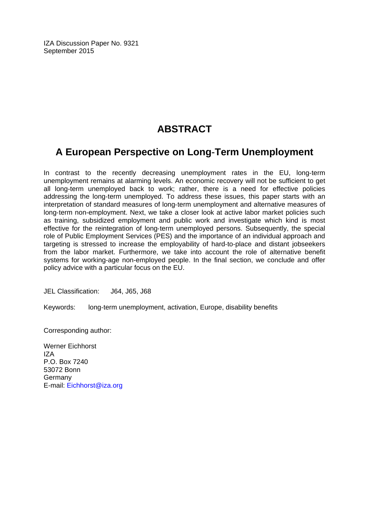IZA Discussion Paper No. 9321 September 2015

# **ABSTRACT**

# **A European Perspective on Long**‐**Term Unemployment**

In contrast to the recently decreasing unemployment rates in the EU, long-term unemployment remains at alarming levels. An economic recovery will not be sufficient to get all long-term unemployed back to work; rather, there is a need for effective policies addressing the long‐term unemployed. To address these issues, this paper starts with an interpretation of standard measures of long‐term unemployment and alternative measures of long-term non-employment. Next, we take a closer look at active labor market policies such as training, subsidized employment and public work and investigate which kind is most effective for the reintegration of long-term unemployed persons. Subsequently, the special role of Public Employment Services (PES) and the importance of an individual approach and targeting is stressed to increase the employability of hard‐to‐place and distant jobseekers from the labor market. Furthermore, we take into account the role of alternative benefit systems for working-age non-employed people. In the final section, we conclude and offer policy advice with a particular focus on the EU.

JEL Classification: J64, J65, J68

Keywords: long‐term unemployment, activation, Europe, disability benefits

Corresponding author:

Werner Eichhorst IZA P.O. Box 7240 53072 Bonn Germany E-mail: Eichhorst@iza.org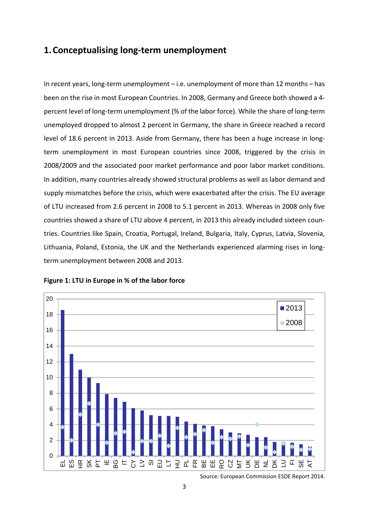## **1.Conceptualising long‐term unemployment**

In recent years, long-term unemployment – i.e. unemployment of more than 12 months – has been on the rise in most European Countries. In 2008, Germany and Greece both showed a 4‐ percent level of long‐term unemployment (% of the labor force). While the share of long‐term unemployed dropped to almost 2 percent in Germany, the share in Greece reached a record level of 18.6 percent in 2013. Aside from Germany, there has been a huge increase in longterm unemployment in most European countries since 2008, triggered by the crisis in 2008/2009 and the associated poor market performance and poor labor market conditions. In addition, many countries already showed structural problems as well as labor demand and supply mismatches before the crisis, which were exacerbated after the crisis. The EU average of LTU increased from 2.6 percent in 2008 to 5.1 percent in 2013. Whereas in 2008 only five countries showed a share of LTU above 4 percent, in 2013 this already included sixteen coun‐ tries. Countries like Spain, Croatia, Portugal, Ireland, Bulgaria, Italy, Cyprus, Latvia, Slovenia, Lithuania, Poland, Estonia, the UK and the Netherlands experienced alarming rises in long‐ term unemployment between 2008 and 2013.



#### **Figure 1: LTU in Europe in % of the labor force**

Source: European Commission ESDE Report 2014.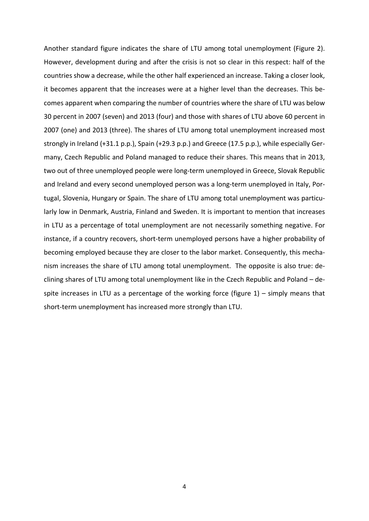Another standard figure indicates the share of LTU among total unemployment (Figure 2). However, development during and after the crisis is not so clear in this respect: half of the countries show a decrease, while the other half experienced an increase. Taking a closer look, it becomes apparent that the increases were at a higher level than the decreases. This be‐ comes apparent when comparing the number of countries where the share of LTU was below 30 percent in 2007 (seven) and 2013 (four) and those with shares of LTU above 60 percent in 2007 (one) and 2013 (three). The shares of LTU among total unemployment increased most strongly in Ireland (+31.1 p.p.), Spain (+29.3 p.p.) and Greece (17.5 p.p.), while especially Ger‐ many, Czech Republic and Poland managed to reduce their shares. This means that in 2013, two out of three unemployed people were long‐term unemployed in Greece, Slovak Republic and Ireland and every second unemployed person was a long-term unemployed in Italy, Portugal, Slovenia, Hungary or Spain. The share of LTU among total unemployment was particu‐ larly low in Denmark, Austria, Finland and Sweden. It is important to mention that increases in LTU as a percentage of total unemployment are not necessarily something negative. For instance, if a country recovers, short‐term unemployed persons have a higher probability of becoming employed because they are closer to the labor market. Consequently, this mecha‐ nism increases the share of LTU among total unemployment. The opposite is also true: de‐ clining shares of LTU among total unemployment like in the Czech Republic and Poland – de‐ spite increases in LTU as a percentage of the working force (figure  $1$ ) – simply means that short-term unemployment has increased more strongly than LTU.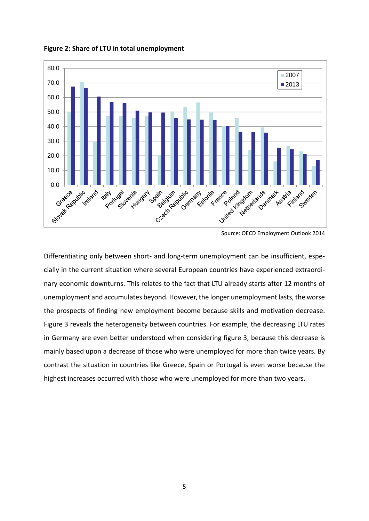**Figure 2: Share of LTU in total unemployment**



Source: OECD Employment Outlook 2014

Differentiating only between short- and long-term unemployment can be insufficient, especially in the current situation where several European countries have experienced extraordi‐ nary economic downturns. This relates to the fact that LTU already starts after 12 months of unemployment and accumulates beyond. However, the longer unemployment lasts, the worse the prospects of finding new employment become because skills and motivation decrease. Figure 3 reveals the heterogeneity between countries. For example, the decreasing LTU rates in Germany are even better understood when considering figure 3, because this decrease is mainly based upon a decrease of those who were unemployed for more than twice years. By contrast the situation in countries like Greece, Spain or Portugal is even worse because the highest increases occurred with those who were unemployed for more than two years.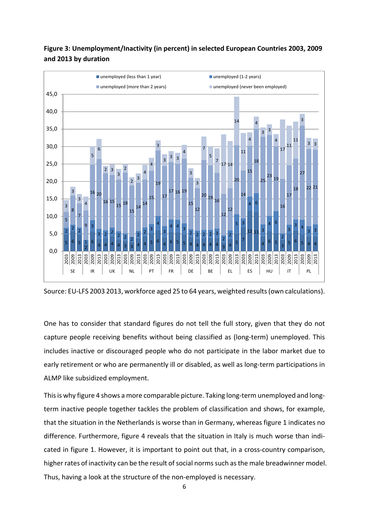### **Figure 3: Unemployment/Inactivity (in percent) in selected European Countries 2003, 2009 and 2013 by duration**



Source: EU‐LFS 2003 2013, workforce aged 25 to 64 years, weighted results(own calculations).

One has to consider that standard figures do not tell the full story, given that they do not capture people receiving benefits without being classified as (long‐term) unemployed. This includes inactive or discouraged people who do not participate in the labor market due to early retirement or who are permanently ill or disabled, as well as long-term participations in ALMP like subsidized employment.

This is why figure 4 shows a more comparable picture. Taking long-term unemployed and longterm inactive people together tackles the problem of classification and shows, for example, that the situation in the Netherlands is worse than in Germany, whereas figure 1 indicates no difference. Furthermore, figure 4 reveals that the situation in Italy is much worse than indi‐ cated in figure 1. However, it is important to point out that, in a cross-country comparison, higher rates of inactivity can be the result of social norms such as the male breadwinner model. Thus, having a look at the structure of the non-employed is necessary.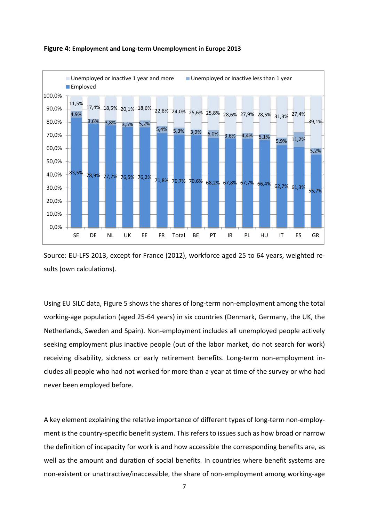

#### **Figure 4: Employment and Long‐term Unemployment in Europe 2013**

Source: EU‐LFS 2013, except for France (2012), workforce aged 25 to 64 years, weighted re‐ sults (own calculations).

Using EU SILC data, Figure 5 shows the shares of long‐term non‐employment among the total working‐age population (aged 25‐64 years) in six countries (Denmark, Germany, the UK, the Netherlands, Sweden and Spain). Non‐employment includes all unemployed people actively seeking employment plus inactive people (out of the labor market, do not search for work) receiving disability, sickness or early retirement benefits. Long-term non-employment includes all people who had not worked for more than a year at time of the survey or who had never been employed before.

A key element explaining the relative importance of different types of long‐term non‐employ‐ ment is the country‐specific benefit system. This refers to issues such as how broad or narrow the definition of incapacity for work is and how accessible the corresponding benefits are, as well as the amount and duration of social benefits. In countries where benefit systems are non-existent or unattractive/inaccessible, the share of non-employment among working-age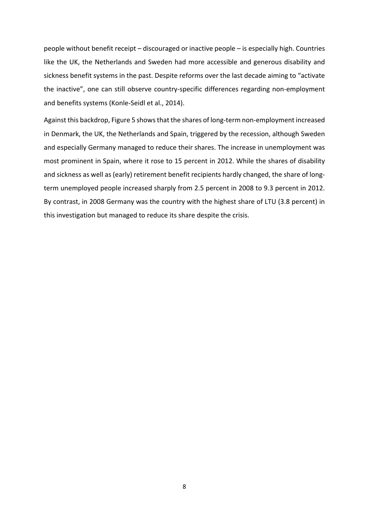people without benefit receipt – discouraged or inactive people – is especially high. Countries like the UK, the Netherlands and Sweden had more accessible and generous disability and sickness benefit systems in the past. Despite reforms over the last decade aiming to "activate the inactive", one can still observe country‐specific differences regarding non‐employment and benefits systems (Konle‐Seidl et al., 2014).

Against this backdrop, Figure 5 shows that the shares of long-term non-employment increased in Denmark, the UK, the Netherlands and Spain, triggered by the recession, although Sweden and especially Germany managed to reduce their shares. The increase in unemployment was most prominent in Spain, where it rose to 15 percent in 2012. While the shares of disability and sickness as well as (early) retirement benefit recipients hardly changed, the share of longterm unemployed people increased sharply from 2.5 percent in 2008 to 9.3 percent in 2012. By contrast, in 2008 Germany was the country with the highest share of LTU (3.8 percent) in this investigation but managed to reduce its share despite the crisis.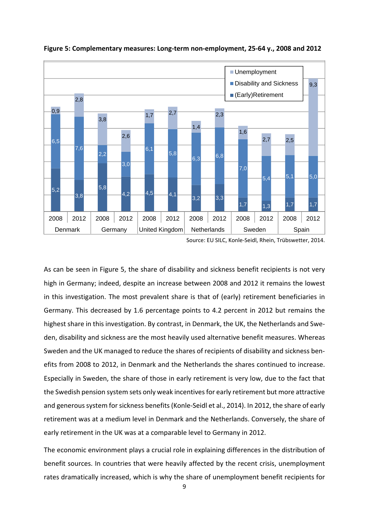

**Figure 5: Complementary measures: Long‐term non‐employment, 25‐64 y., 2008 and 2012**

Source: EU SILC, Konle‐Seidl, Rhein, Trübswetter, 2014.

As can be seen in Figure 5, the share of disability and sickness benefit recipients is not very high in Germany; indeed, despite an increase between 2008 and 2012 it remains the lowest in this investigation. The most prevalent share is that of (early) retirement beneficiaries in Germany. This decreased by 1.6 percentage points to 4.2 percent in 2012 but remains the highest share in this investigation. By contrast, in Denmark, the UK, the Netherlands and Sweden, disability and sickness are the most heavily used alternative benefit measures. Whereas Sweden and the UK managed to reduce the shares of recipients of disability and sickness ben‐ efits from 2008 to 2012, in Denmark and the Netherlands the shares continued to increase. Especially in Sweden, the share of those in early retirement is very low, due to the fact that the Swedish pension system sets only weak incentivesfor early retirement but more attractive and generous system for sickness benefits (Konle-Seidl et al., 2014). In 2012, the share of early retirement was at a medium level in Denmark and the Netherlands. Conversely, the share of early retirement in the UK was at a comparable level to Germany in 2012.

The economic environment plays a crucial role in explaining differences in the distribution of benefit sources. In countries that were heavily affected by the recent crisis, unemployment rates dramatically increased, which is why the share of unemployment benefit recipients for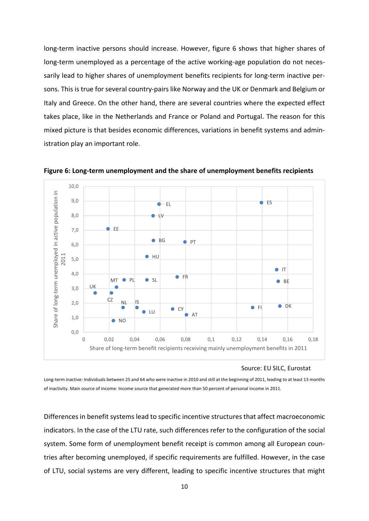long-term inactive persons should increase. However, figure 6 shows that higher shares of long-term unemployed as a percentage of the active working-age population do not necessarily lead to higher shares of unemployment benefits recipients for long-term inactive persons. This is true for several country‐pairs like Norway and the UK or Denmark and Belgium or Italy and Greece. On the other hand, there are several countries where the expected effect takes place, like in the Netherlands and France or Poland and Portugal. The reason for this mixed picture is that besides economic differences, variations in benefit systems and admin‐ istration play an important role.



**Figure 6: Long‐term unemployment and the share of unemployment benefits recipients**

Source: EU SILC, Eurostat

Long‐term inactive: Individuals between 25 and 64 who were inactive in 2010 and still at the beginning of 2011, leading to at least 13 months of inactivity. Main source of income: Income source that generated more than 50 percent of personal income in 2011.

Differences in benefit systems lead to specific incentive structures that affect macroeconomic indicators. In the case of the LTU rate, such differences refer to the configuration of the social system. Some form of unemployment benefit receipt is common among all European countries after becoming unemployed, if specific requirements are fulfilled. However, in the case of LTU, social systems are very different, leading to specific incentive structures that might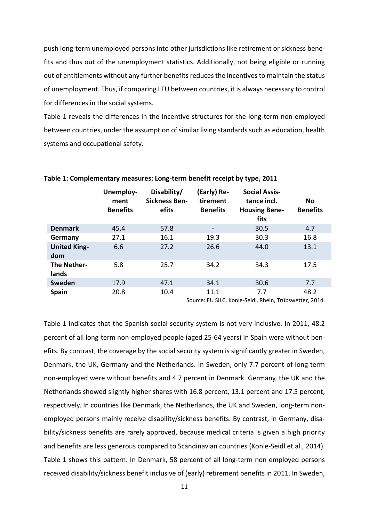push long‐term unemployed persons into other jurisdictions like retirement or sickness bene‐ fits and thus out of the unemployment statistics. Additionally, not being eligible or running out of entitlements without any further benefits reduces the incentives to maintain the status of unemployment. Thus, if comparing LTU between countries, it is always necessary to control for differences in the social systems.

Table 1 reveals the differences in the incentive structures for the long-term non-employed between countries, under the assumption of similar living standards such as education, health systems and occupational safety.

|                             | Unemploy-<br>ment<br><b>Benefits</b> | Disability/<br><b>Sickness Ben-</b><br>efits | (Early) Re-<br>tirement<br><b>Benefits</b> | <b>Social Assis-</b><br>tance incl.<br><b>Housing Bene-</b><br>fits | No<br><b>Benefits</b> |
|-----------------------------|--------------------------------------|----------------------------------------------|--------------------------------------------|---------------------------------------------------------------------|-----------------------|
| <b>Denmark</b>              | 45.4                                 | 57.8                                         | $\overline{\phantom{a}}$                   | 30.5                                                                | 4.7                   |
| Germany                     | 27.1                                 | 16.1                                         | 19.3                                       | 30.3                                                                | 16.8                  |
| <b>United King-</b><br>dom  | 6.6                                  | 27.2                                         | 26.6                                       | 44.0                                                                | 13.1                  |
| <b>The Nether-</b><br>lands | 5.8                                  | 25.7                                         | 34.2                                       | 34.3                                                                | 17.5                  |
| <b>Sweden</b>               | 17.9                                 | 47.1                                         | 34.1                                       | 30.6                                                                | 7.7                   |
| <b>Spain</b>                | 20.8                                 | 10.4                                         | 11.1                                       | 7.7<br>$\sim$ $\sim$ $\sim$ $\sim$ $\sim$ $\sim$                    | 48.2<br>.             |

**Table 1: Complementary measures: Long‐term benefit receipt by type, 2011**

Source: EU SILC, Konle‐Seidl, Rhein, Trübswetter, 2014.

Table 1 indicates that the Spanish social security system is not very inclusive. In 2011, 48.2 percent of all long-term non-employed people (aged 25-64 years) in Spain were without benefits. By contrast, the coverage by the social security system is significantly greater in Sweden, Denmark, the UK, Germany and the Netherlands. In Sweden, only 7.7 percent of long-term non‐employed were without benefits and 4.7 percent in Denmark. Germany, the UK and the Netherlands showed slightly higher shares with 16.8 percent, 13.1 percent and 17.5 percent, respectively. In countries like Denmark, the Netherlands, the UK and Sweden, long‐term non‐ employed persons mainly receive disability/sickness benefits. By contrast, in Germany, disability/sickness benefits are rarely approved, because medical criteria is given a high priority and benefits are less generous compared to Scandinavian countries (Konle-Seidl et al., 2014). Table 1 shows this pattern. In Denmark, 58 percent of all long-term non employed persons received disability/sickness benefit inclusive of (early) retirement benefits in 2011. In Sweden,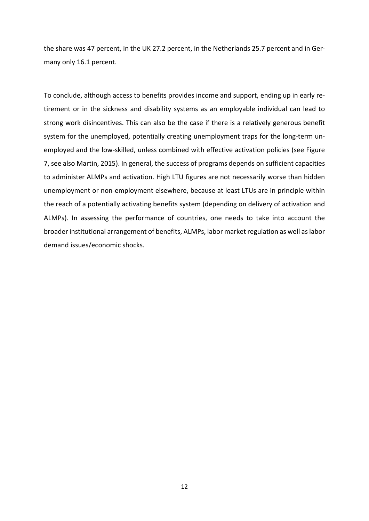the share was 47 percent, in the UK 27.2 percent, in the Netherlands 25.7 percent and in Ger‐ many only 16.1 percent.

To conclude, although access to benefits provides income and support, ending up in early re‐ tirement or in the sickness and disability systems as an employable individual can lead to strong work disincentives. This can also be the case if there is a relatively generous benefit system for the unemployed, potentially creating unemployment traps for the long-term unemployed and the low-skilled, unless combined with effective activation policies (see Figure 7, see also Martin, 2015). In general, the success of programs depends on sufficient capacities to administer ALMPs and activation. High LTU figures are not necessarily worse than hidden unemployment or non‐employment elsewhere, because at least LTUs are in principle within the reach of a potentially activating benefits system (depending on delivery of activation and ALMPs). In assessing the performance of countries, one needs to take into account the broader institutional arrangement of benefits, ALMPs, labor market regulation as well aslabor demand issues/economic shocks.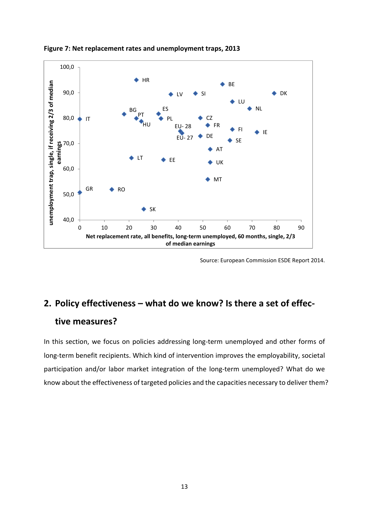

**Figure 7: Net replacement rates and unemployment traps, 2013**

Source: European Commission ESDE Report 2014.

# **2. Policy effectiveness – what do we know? Is there a set of effec‐**

### **tive measures?**

In this section, we focus on policies addressing long-term unemployed and other forms of long-term benefit recipients. Which kind of intervention improves the employability, societal participation and/or labor market integration of the long-term unemployed? What do we know about the effectiveness of targeted policies and the capacities necessary to deliver them?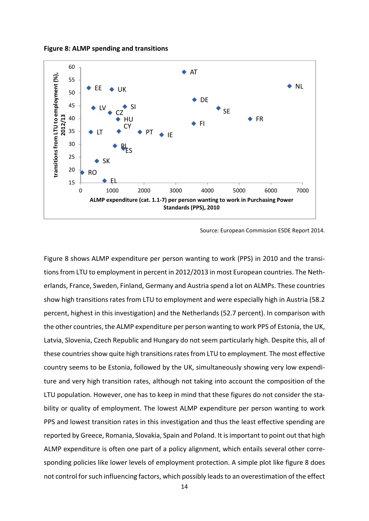**Figure 8: ALMP spending and transitions**



Source: European Commission ESDE Report 2014.

Figure 8 shows ALMP expenditure per person wanting to work (PPS) in 2010 and the transi‐ tions from LTU to employment in percent in 2012/2013 in most European countries. The Netherlands, France, Sweden, Finland, Germany and Austria spend a lot on ALMPs. These countries show high transitions rates from LTU to employment and were especially high in Austria (58.2 percent, highest in this investigation) and the Netherlands (52.7 percent). In comparison with the other countries, the ALMP expenditure per person wanting to work PPS of Estonia, the UK, Latvia, Slovenia, Czech Republic and Hungary do not seem particularly high. Despite this, all of these countries show quite high transitions rates from LTU to employment. The most effective country seems to be Estonia, followed by the UK, simultaneously showing very low expendi‐ ture and very high transition rates, although not taking into account the composition of the LTU population. However, one has to keep in mind that these figures do not consider the sta‐ bility or quality of employment. The lowest ALMP expenditure per person wanting to work PPS and lowest transition rates in this investigation and thus the least effective spending are reported by Greece, Romania, Slovakia, Spain and Poland. It isimportant to point out that high ALMP expenditure is often one part of a policy alignment, which entails several other corre‐ sponding policies like lower levels of employment protection. A simple plot like figure 8 does not control for such influencing factors, which possibly leads to an overestimation of the effect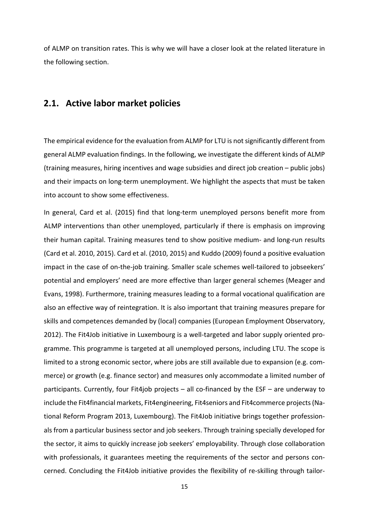of ALMP on transition rates. This is why we will have a closer look at the related literature in the following section.

### **2.1. Active labor market policies**

The empirical evidence for the evaluation from ALMP for LTU is notsignificantly different from general ALMP evaluation findings. In the following, we investigate the different kinds of ALMP (training measures, hiring incentives and wage subsidies and direct job creation – public jobs) and their impacts on long-term unemployment. We highlight the aspects that must be taken into account to show some effectiveness.

In general, Card et al. (2015) find that long-term unemployed persons benefit more from ALMP interventions than other unemployed, particularly if there is emphasis on improving their human capital. Training measures tend to show positive medium‐ and long‐run results (Card et al. 2010, 2015). Card et al. (2010, 2015) and Kuddo (2009) found a positive evaluation impact in the case of on-the-job training. Smaller scale schemes well-tailored to jobseekers' potential and employers' need are more effective than larger general schemes (Meager and Evans, 1998). Furthermore, training measures leading to a formal vocational qualification are also an effective way of reintegration. It is also important that training measures prepare for skills and competences demanded by (local) companies (European Employment Observatory, 2012). The Fit4Job initiative in Luxembourg is a well-targeted and labor supply oriented programme. This programme is targeted at all unemployed persons, including LTU. The scope is limited to a strong economic sector, where jobs are still available due to expansion (e.g. com‐ merce) or growth (e.g. finance sector) and measures only accommodate a limited number of participants. Currently, four Fit4job projects – all co-financed by the ESF – are underway to include the Fit4financial markets, Fit4engineering, Fit4seniors and Fit4commerce projects(Na‐ tional Reform Program 2013, Luxembourg). The Fit4Job initiative brings together profession‐ als from a particular business sector and job seekers. Through training specially developed for the sector, it aims to quickly increase job seekers' employability. Through close collaboration with professionals, it guarantees meeting the requirements of the sector and persons concerned. Concluding the Fit4Job initiative provides the flexibility of re‐skilling through tailor‐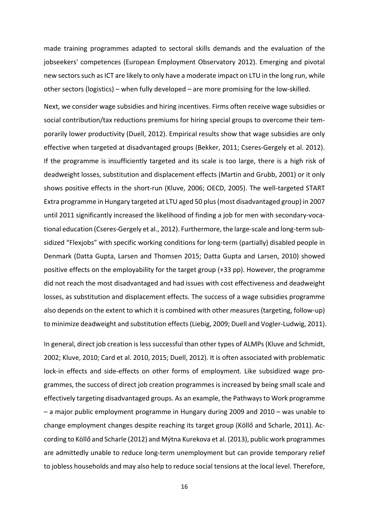made training programmes adapted to sectoral skills demands and the evaluation of the jobseekers' competences (European Employment Observatory 2012). Emerging and pivotal new sectors such as ICT are likely to only have a moderate impact on LTU in the long run, while other sectors (logistics) – when fully developed – are more promising for the low‐skilled.

Next, we consider wage subsidies and hiring incentives. Firms often receive wage subsidies or social contribution/tax reductions premiums for hiring special groups to overcome their temporarily lower productivity (Duell, 2012). Empirical results show that wage subsidies are only effective when targeted at disadvantaged groups (Bekker, 2011; Cseres‐Gergely et al. 2012). If the programme is insufficiently targeted and its scale is too large, there is a high risk of deadweight losses, substitution and displacement effects (Martin and Grubb, 2001) or it only shows positive effects in the short-run (Kluve, 2006; OECD, 2005). The well-targeted START Extra programme in Hungary targeted at LTU aged 50 plus(most disadvantaged group) in 2007 until 2011 significantly increased the likelihood of finding a job for men with secondary-vocational education (Cseres‐Gergely et al., 2012). Furthermore, the large‐scale and long‐term sub‐ sidized "Flexjobs" with specific working conditions for long-term (partially) disabled people in Denmark (Datta Gupta, Larsen and Thomsen 2015; Datta Gupta and Larsen, 2010) showed positive effects on the employability for the target group (+33 pp). However, the programme did not reach the most disadvantaged and had issues with cost effectiveness and deadweight losses, as substitution and displacement effects. The success of a wage subsidies programme also depends on the extent to which it is combined with other measures (targeting, follow-up) to minimize deadweight and substitution effects (Liebig, 2009; Duell and Vogler-Ludwig, 2011).

In general, direct job creation is less successful than other types of ALMPs (Kluve and Schmidt, 2002; Kluve, 2010; Card et al. 2010, 2015; Duell, 2012). It is often associated with problematic lock-in effects and side-effects on other forms of employment. Like subsidized wage programmes, the success of direct job creation programmes is increased by being small scale and effectively targeting disadvantaged groups. As an example, the Pathwaysto Work programme – a major public employment programme in Hungary during 2009 and 2010 – was unable to change employment changes despite reaching its target group (Köllő and Scharle, 2011). Ac‐ cording to Köllő and Scharle (2012) and Mýtna Kurekova et al. (2013), public work programmes are admittedly unable to reduce long‐term unemployment but can provide temporary relief to jobless households and may also help to reduce social tensions at the local level. Therefore,

16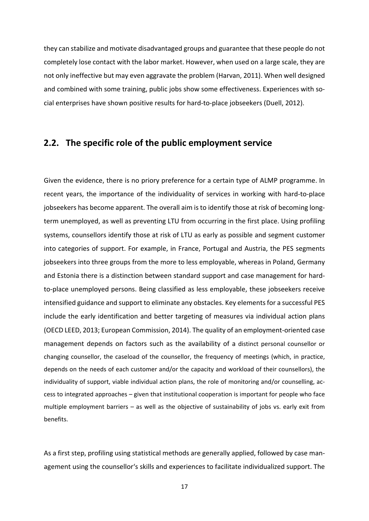they can stabilize and motivate disadvantaged groups and guarantee that these people do not completely lose contact with the labor market. However, when used on a large scale, they are not only ineffective but may even aggravate the problem (Harvan, 2011). When well designed and combined with some training, public jobs show some effectiveness. Experiences with social enterprises have shown positive results for hard‐to‐place jobseekers (Duell, 2012).

### **2.2. The specific role of the public employment service**

Given the evidence, there is no priory preference for a certain type of ALMP programme. In recent years, the importance of the individuality of services in working with hard‐to‐place jobseekers has become apparent. The overall aim is to identify those at risk of becoming long‐ term unemployed, as well as preventing LTU from occurring in the first place. Using profiling systems, counsellors identify those at risk of LTU as early as possible and segment customer into categories of support. For example, in France, Portugal and Austria, the PES segments jobseekers into three groups from the more to less employable, whereas in Poland, Germany and Estonia there is a distinction between standard support and case management for hard‐ to‐place unemployed persons. Being classified as less employable, these jobseekers receive intensified guidance and support to eliminate any obstacles. Key elements for a successful PES include the early identification and better targeting of measures via individual action plans (OECD LEED, 2013; European Commission, 2014). The quality of an employment‐oriented case management depends on factors such as the availability of a distinct personal counsellor or changing counsellor, the caseload of the counsellor, the frequency of meetings (which, in practice, depends on the needs of each customer and/or the capacity and workload of their counsellors), the individuality of support, viable individual action plans, the role of monitoring and/or counselling, access to integrated approaches – given that institutional cooperation is important for people who face multiple employment barriers – as well as the objective of sustainability of jobs vs. early exit from benefits.

As a first step, profiling using statistical methods are generally applied, followed by case man‐ agement using the counsellor's skills and experiences to facilitate individualized support. The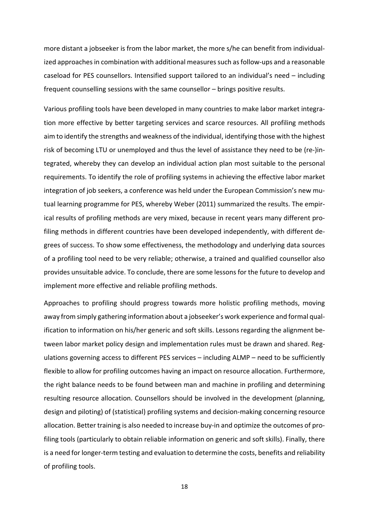more distant a jobseeker is from the labor market, the more s/he can benefit from individual‐ ized approaches in combination with additional measures such as follow-ups and a reasonable caseload for PES counsellors. Intensified support tailored to an individual's need – including frequent counselling sessions with the same counsellor – brings positive results.

Various profiling tools have been developed in many countries to make labor market integra‐ tion more effective by better targeting services and scarce resources. All profiling methods aim to identify the strengths and weakness of the individual, identifying those with the highest risk of becoming LTU or unemployed and thus the level of assistance they need to be (re‐)in‐ tegrated, whereby they can develop an individual action plan most suitable to the personal requirements. To identify the role of profiling systems in achieving the effective labor market integration of job seekers, a conference was held under the European Commission's new mutual learning programme for PES, whereby Weber (2011) summarized the results. The empir‐ ical results of profiling methods are very mixed, because in recent years many different pro‐ filing methods in different countries have been developed independently, with different de‐ grees of success. To show some effectiveness, the methodology and underlying data sources of a profiling tool need to be very reliable; otherwise, a trained and qualified counsellor also provides unsuitable advice. To conclude, there are some lessons for the future to develop and implement more effective and reliable profiling methods.

Approaches to profiling should progress towards more holistic profiling methods, moving away from simply gathering information about a jobseeker's work experience and formal qual‐ ification to information on his/her generic and soft skills. Lessons regarding the alignment be‐ tween labor market policy design and implementation rules must be drawn and shared. Regulations governing access to different PES services – including ALMP – need to be sufficiently flexible to allow for profiling outcomes having an impact on resource allocation. Furthermore, the right balance needs to be found between man and machine in profiling and determining resulting resource allocation. Counsellors should be involved in the development (planning, design and piloting) of (statistical) profiling systems and decision‐making concerning resource allocation. Better training is also needed to increase buy-in and optimize the outcomes of profiling tools (particularly to obtain reliable information on generic and soft skills). Finally, there is a need for longer-term testing and evaluation to determine the costs, benefits and reliability of profiling tools.

18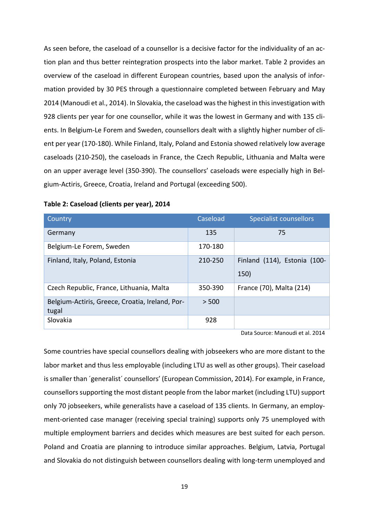As seen before, the caseload of a counsellor is a decisive factor for the individuality of an ac‐ tion plan and thus better reintegration prospects into the labor market. Table 2 provides an overview of the caseload in different European countries, based upon the analysis of infor‐ mation provided by 30 PES through a questionnaire completed between February and May 2014 (Manoudi et al., 2014). In Slovakia, the caseload was the highest in this investigation with 928 clients per year for one counsellor, while it was the lowest in Germany and with 135 clients. In Belgium-Le Forem and Sweden, counsellors dealt with a slightly higher number of client per year (170‐180). While Finland, Italy, Poland and Estonia showed relatively low average caseloads (210‐250), the caseloads in France, the Czech Republic, Lithuania and Malta were on an upper average level (350‐390). The counsellors' caseloads were especially high in Bel‐ gium‐Actiris, Greece, Croatia, Ireland and Portugal (exceeding 500).

| Country                                                  | Caseload | <b>Specialist counsellors</b>        |
|----------------------------------------------------------|----------|--------------------------------------|
| Germany                                                  | 135      | 75                                   |
| Belgium-Le Forem, Sweden                                 | 170-180  |                                      |
| Finland, Italy, Poland, Estonia                          | 210-250  | Finland (114), Estonia (100-<br>150) |
| Czech Republic, France, Lithuania, Malta                 | 350-390  | France (70), Malta (214)             |
| Belgium-Actiris, Greece, Croatia, Ireland, Por-<br>tugal | > 500    |                                      |
| Slovakia                                                 | 928      |                                      |

#### **Table 2: Caseload (clients per year), 2014**

Data Source: Manoudi et al. 2014

Some countries have special counsellors dealing with jobseekers who are more distant to the labor market and thus less employable (including LTU as well as other groups). Their caseload is smaller than 'generalist' counsellors' (European Commission, 2014). For example, in France, counsellors supporting the most distant people from the labor market (including LTU) support only 70 jobseekers, while generalists have a caseload of 135 clients. In Germany, an employ‐ ment-oriented case manager (receiving special training) supports only 75 unemployed with multiple employment barriers and decides which measures are best suited for each person. Poland and Croatia are planning to introduce similar approaches. Belgium, Latvia, Portugal and Slovakia do not distinguish between counsellors dealing with long-term unemployed and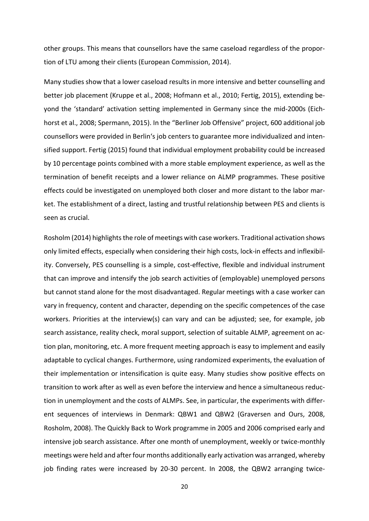other groups. This means that counsellors have the same caseload regardless of the propor‐ tion of LTU among their clients (European Commission, 2014).

Many studies show that a lower caseload results in more intensive and better counselling and better job placement (Kruppe et al., 2008; Hofmann et al., 2010; Fertig, 2015), extending be‐ yond the 'standard' activation setting implemented in Germany since the mid‐2000s (Eich‐ horst et al., 2008; Spermann, 2015). In the "Berliner Job Offensive" project, 600 additional job counsellors were provided in Berlin's job centers to guarantee more individualized and inten‐ sified support. Fertig (2015) found that individual employment probability could be increased by 10 percentage points combined with a more stable employment experience, as well as the termination of benefit receipts and a lower reliance on ALMP programmes. These positive effects could be investigated on unemployed both closer and more distant to the labor mar‐ ket. The establishment of a direct, lasting and trustful relationship between PES and clients is seen as crucial.

Rosholm (2014) highlights the role of meetings with case workers. Traditional activation shows only limited effects, especially when considering their high costs, lock‐in effects and inflexibil‐ ity. Conversely, PES counselling is a simple, cost-effective, flexible and individual instrument that can improve and intensify the job search activities of (employable) unemployed persons but cannot stand alone for the most disadvantaged. Regular meetings with a case worker can vary in frequency, content and character, depending on the specific competences of the case workers. Priorities at the interview(s) can vary and can be adjusted; see, for example, job search assistance, reality check, moral support, selection of suitable ALMP, agreement on action plan, monitoring, etc. A more frequent meeting approach is easy to implement and easily adaptable to cyclical changes. Furthermore, using randomized experiments, the evaluation of their implementation or intensification is quite easy. Many studies show positive effects on transition to work after as well as even before the interview and hence a simultaneous reduc‐ tion in unemployment and the costs of ALMPs. See, in particular, the experiments with differ‐ ent sequences of interviews in Denmark: QBW1 and QBW2 (Graversen and Ours, 2008, Rosholm, 2008). The Quickly Back to Work programme in 2005 and 2006 comprised early and intensive job search assistance. After one month of unemployment, weekly or twice-monthly meetings were held and after four months additionally early activation was arranged, whereby job finding rates were increased by 20‐30 percent. In 2008, the QBW2 arranging twice‐

20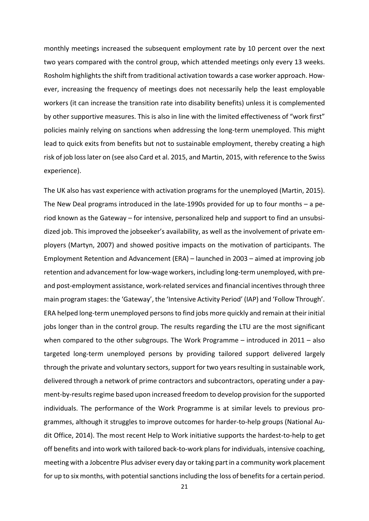monthly meetings increased the subsequent employment rate by 10 percent over the next two years compared with the control group, which attended meetings only every 13 weeks. Rosholm highlights the shift from traditional activation towards a case worker approach. However, increasing the frequency of meetings does not necessarily help the least employable workers (it can increase the transition rate into disability benefits) unless it is complemented by other supportive measures. This is also in line with the limited effectiveness of "work first" policies mainly relying on sanctions when addressing the long‐term unemployed. This might lead to quick exits from benefits but not to sustainable employment, thereby creating a high risk of job losslater on (see also Card et al. 2015, and Martin, 2015, with reference to the Swiss experience).

The UK also has vast experience with activation programs for the unemployed (Martin, 2015). The New Deal programs introduced in the late-1990s provided for up to four months – a period known as the Gateway – for intensive, personalized help and support to find an unsubsi‐ dized job. This improved the jobseeker's availability, as well as the involvement of private em‐ ployers (Martyn, 2007) and showed positive impacts on the motivation of participants. The Employment Retention and Advancement (ERA) – launched in 2003 – aimed at improving job retention and advancement for low-wage workers, including long-term unemployed, with preand post-employment assistance, work-related services and financial incentives through three main program stages: the 'Gateway', the 'Intensive Activity Period' (IAP) and 'Follow Through'. ERA helped long‐term unemployed personsto find jobs more quickly and remain at their initial jobs longer than in the control group. The results regarding the LTU are the most significant when compared to the other subgroups. The Work Programme – introduced in 2011 – also targeted long‐term unemployed persons by providing tailored support delivered largely through the private and voluntary sectors, support for two years resulting in sustainable work, delivered through a network of prime contractors and subcontractors, operating under a pay‐ ment-by-results regime based upon increased freedom to develop provision for the supported individuals. The performance of the Work Programme is at similar levels to previous pro‐ grammes, although it struggles to improve outcomes for harder‐to‐help groups (National Au‐ dit Office, 2014). The most recent Help to Work initiative supports the hardest‐to‐help to get off benefits and into work with tailored back‐to‐work plansfor individuals, intensive coaching, meeting with a Jobcentre Plus adviser every day or taking partin a community work placement for up to six months, with potential sanctions including the loss of benefits for a certain period.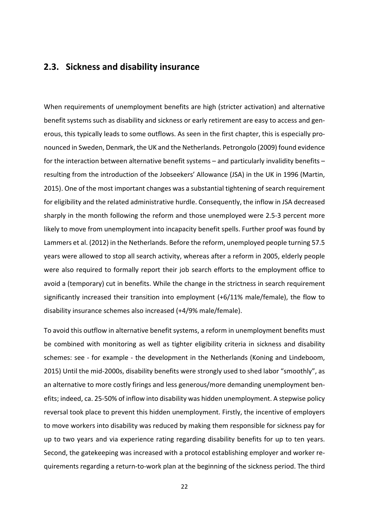### **2.3. Sickness and disability insurance**

When requirements of unemployment benefits are high (stricter activation) and alternative benefit systems such as disability and sickness or early retirement are easy to access and gen‐ erous, this typically leads to some outflows. As seen in the first chapter, this is especially pro‐ nounced in Sweden, Denmark, the UK and the Netherlands. Petrongolo (2009) found evidence for the interaction between alternative benefit systems – and particularly invalidity benefits – resulting from the introduction of the Jobseekers' Allowance (JSA) in the UK in 1996 (Martin, 2015). One of the most important changes was a substantial tightening of search requirement for eligibility and the related administrative hurdle. Consequently, the inflow in JSA decreased sharply in the month following the reform and those unemployed were 2.5‐3 percent more likely to move from unemployment into incapacity benefit spells. Further proof was found by Lammers et al. (2012) in the Netherlands. Before the reform, unemployed people turning 57.5 years were allowed to stop all search activity, whereas after a reform in 2005, elderly people were also required to formally report their job search efforts to the employment office to avoid a (temporary) cut in benefits. While the change in the strictness in search requirement significantly increased their transition into employment (+6/11% male/female), the flow to disability insurance schemes also increased (+4/9% male/female).

To avoid this outflow in alternative benefit systems, a reform in unemployment benefits must be combined with monitoring as well as tighter eligibility criteria in sickness and disability schemes: see - for example - the development in the Netherlands (Koning and Lindeboom, 2015) Until the mid‐2000s, disability benefits were strongly used to shed labor "smoothly", as an alternative to more costly firings and less generous/more demanding unemployment ben‐ efits; indeed, ca. 25‐50% of inflow into disability was hidden unemployment. A stepwise policy reversal took place to prevent this hidden unemployment. Firstly, the incentive of employers to move workers into disability was reduced by making them responsible for sickness pay for up to two years and via experience rating regarding disability benefits for up to ten years. Second, the gatekeeping was increased with a protocol establishing employer and worker re‐ quirements regarding a return‐to‐work plan at the beginning of the sickness period. The third

22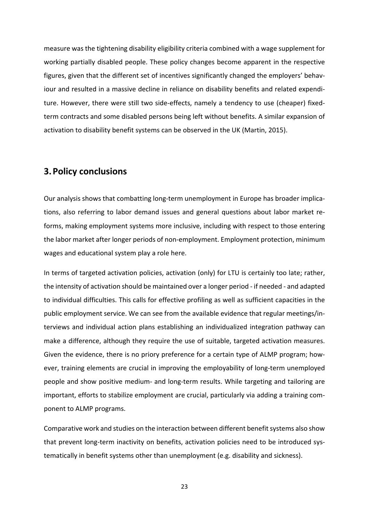measure was the tightening disability eligibility criteria combined with a wage supplement for working partially disabled people. These policy changes become apparent in the respective figures, given that the different set of incentives significantly changed the employers' behav‐ iour and resulted in a massive decline in reliance on disability benefits and related expenditure. However, there were still two side-effects, namely a tendency to use (cheaper) fixedterm contracts and some disabled persons being left without benefits. A similar expansion of activation to disability benefit systems can be observed in the UK (Martin, 2015).

# **3.Policy conclusions**

Our analysis shows that combatting long-term unemployment in Europe has broader implications, also referring to labor demand issues and general questions about labor market re‐ forms, making employment systems more inclusive, including with respect to those entering the labor market after longer periods of non‐employment. Employment protection, minimum wages and educational system play a role here.

In terms of targeted activation policies, activation (only) for LTU is certainly too late; rather, the intensity of activation should be maintained over a longer period ‐ if needed ‐ and adapted to individual difficulties. This calls for effective profiling as well as sufficient capacities in the public employment service. We can see from the available evidence that regular meetings/in‐ terviews and individual action plans establishing an individualized integration pathway can make a difference, although they require the use of suitable, targeted activation measures. Given the evidence, there is no priory preference for a certain type of ALMP program; how‐ ever, training elements are crucial in improving the employability of long-term unemployed people and show positive medium‐ and long‐term results. While targeting and tailoring are important, efforts to stabilize employment are crucial, particularly via adding a training component to ALMP programs.

Comparative work and studies on the interaction between different benefit systems also show that prevent long-term inactivity on benefits, activation policies need to be introduced systematically in benefit systems other than unemployment (e.g. disability and sickness).

23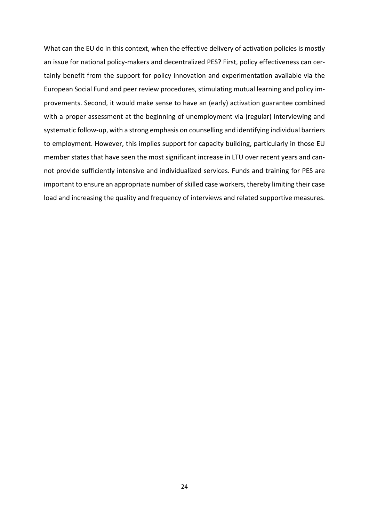What can the EU do in this context, when the effective delivery of activation policies is mostly an issue for national policy-makers and decentralized PES? First, policy effectiveness can certainly benefit from the support for policy innovation and experimentation available via the European Social Fund and peer review procedures, stimulating mutual learning and policy im‐ provements. Second, it would make sense to have an (early) activation guarantee combined with a proper assessment at the beginning of unemployment via (regular) interviewing and systematic follow‐up, with a strong emphasis on counselling and identifying individual barriers to employment. However, this implies support for capacity building, particularly in those EU member states that have seen the most significant increase in LTU over recent years and can‐ not provide sufficiently intensive and individualized services. Funds and training for PES are important to ensure an appropriate number of skilled case workers, thereby limiting their case load and increasing the quality and frequency of interviews and related supportive measures.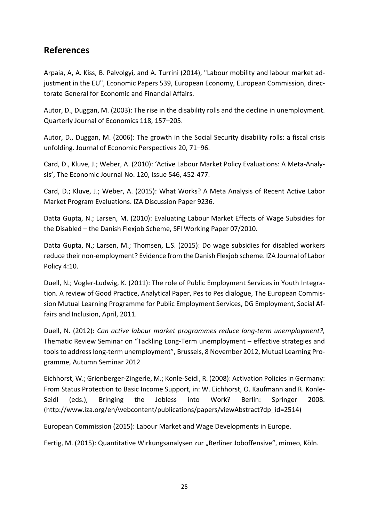# **References**

Arpaia, A, A. Kiss, B. Palvolgyi, and A. Turrini (2014), "Labour mobility and labour market ad‐ justment in the EU", Economic Papers 539, European Economy, European Commission, direc‐ torate General for Economic and Financial Affairs.

Autor, D., Duggan, M. (2003): The rise in the disability rolls and the decline in unemployment. Quarterly Journal of Economics 118, 157–205.

Autor, D., Duggan, M. (2006): The growth in the Social Security disability rolls: a fiscal crisis unfolding. Journal of Economic Perspectives 20, 71–96.

Card, D., Kluve, J.; Weber, A. (2010): 'Active Labour Market Policy Evaluations: A Meta‐Analy‐ sis', The Economic Journal No. 120, Issue 546, 452‐477.

Card, D.; Kluve, J.; Weber, A. (2015): What Works? A Meta Analysis of Recent Active Labor Market Program Evaluations. IZA Discussion Paper 9236.

Datta Gupta, N.; Larsen, M. (2010): Evaluating Labour Market Effects of Wage Subsidies for the Disabled – the Danish Flexjob Scheme, SFI Working Paper 07/2010.

Datta Gupta, N.; Larsen, M.; Thomsen, L.S. (2015): Do wage subsidies for disabled workers reduce their non‐employment? Evidence from the Danish Flexjob scheme. IZA Journal of Labor Policy 4:10.

Duell, N.; Vogler-Ludwig, K. (2011): The role of Public Employment Services in Youth Integration. A review of Good Practice, Analytical Paper, Pes to Pes dialogue, The European Commis‐ sion Mutual Learning Programme for Public Employment Services, DG Employment, Social Af‐ fairs and Inclusion, April, 2011.

Duell, N. (2012): *Can active labour market programmes reduce long‐term unemployment?,* Thematic Review Seminar on "Tackling Long‐Term unemployment – effective strategies and tools to address long-term unemployment", Brussels, 8 November 2012, Mutual Learning Programme, Autumn Seminar 2012

Eichhorst, W.; Grienberger‐Zingerle, M.; Konle‐Seidl, R. (2008): Activation Policiesin Germany: From Status Protection to Basic Income Support, in: W. Eichhorst, O. Kaufmann and R. Konle‐ Seidl (eds.), Bringing the Jobless into Work? Berlin: Springer 2008. (http://www.iza.org/en/webcontent/publications/papers/viewAbstract?dp\_id=2514)

European Commission (2015): Labour Market and Wage Developments in Europe.

Fertig, M. (2015): Quantitative Wirkungsanalysen zur "Berliner Joboffensive", mimeo, Köln.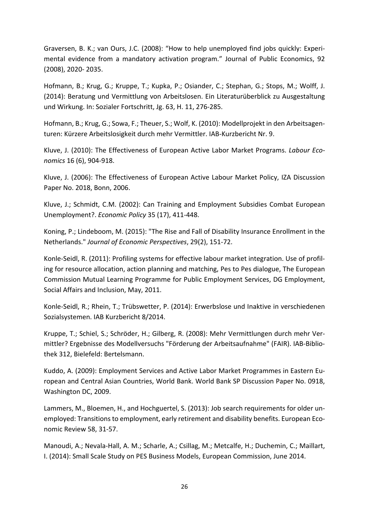Graversen, B. K.; van Ours, J.C. (2008): "How to help unemployed find jobs quickly: Experi‐ mental evidence from a mandatory activation program." Journal of Public Economics, 92 (2008), 2020‐ 2035.

Hofmann, B.; Krug, G.; Kruppe, T.; Kupka, P.; Osiander, C.; Stephan, G.; Stops, M.; Wolff, J. (2014): Beratung und Vermittlung von Arbeitslosen. Ein Literaturüberblick zu Ausgestaltung und Wirkung. In: Sozialer Fortschritt, Jg. 63, H. 11, 276‐285.

Hofmann, B.; Krug, G.; Sowa, F.; Theuer, S.; Wolf, K. (2010): Modellprojekt in den Arbeitsagen‐ turen: Kürzere Arbeitslosigkeit durch mehr Vermittler. IAB‐Kurzbericht Nr. 9.

Kluve, J. (2010): The Effectiveness of European Active Labor Market Programs. *Labour Eco‐ nomics* 16 (6), 904‐918.

Kluve, J. (2006): The Effectiveness of European Active Labour Market Policy, IZA Discussion Paper No. 2018, Bonn, 2006.

Kluve, J.; Schmidt, C.M. (2002): Can Training and Employment Subsidies Combat European Unemployment?. *Economic Policy* 35 (17), 411‐448.

Koning, P.; Lindeboom, M. (2015): "The Rise and Fall of Disability Insurance Enrollment in the Netherlands." *Journal of Economic Perspectives*, 29(2), 151‐72.

Konle‐Seidl, R. (2011): Profiling systems for effective labour market integration. Use of profil‐ ing for resource allocation, action planning and matching, Pes to Pes dialogue, The European Commission Mutual Learning Programme for Public Employment Services, DG Employment, Social Affairs and Inclusion, May, 2011.

Konle‐Seidl, R.; Rhein, T.; Trübswetter, P. (2014): Erwerbslose und Inaktive in verschiedenen Sozialsystemen. IAB Kurzbericht 8/2014.

Kruppe, T.; Schiel, S.; Schröder, H.; Gilberg, R. (2008): Mehr Vermittlungen durch mehr Ver‐ mittler? Ergebnisse des Modellversuchs "Förderung der Arbeitsaufnahme" (FAIR). IAB‐Biblio‐ thek 312, Bielefeld: Bertelsmann.

Kuddo, A. (2009): Employment Services and Active Labor Market Programmes in Eastern Eu‐ ropean and Central Asian Countries, World Bank. World Bank SP Discussion Paper No. 0918, Washington DC, 2009.

Lammers, M., Bloemen, H., and Hochguertel, S. (2013): Job search requirements for older un‐ employed: Transitions to employment, early retirement and disability benefits. European Economic Review 58, 31‐57.

Manoudi, A.; Nevala‐Hall, A. M.; Scharle, A.; Csillag, M.; Metcalfe, H.; Duchemin, C.; Maillart, I. (2014): Small Scale Study on PES Business Models, European Commission, June 2014.